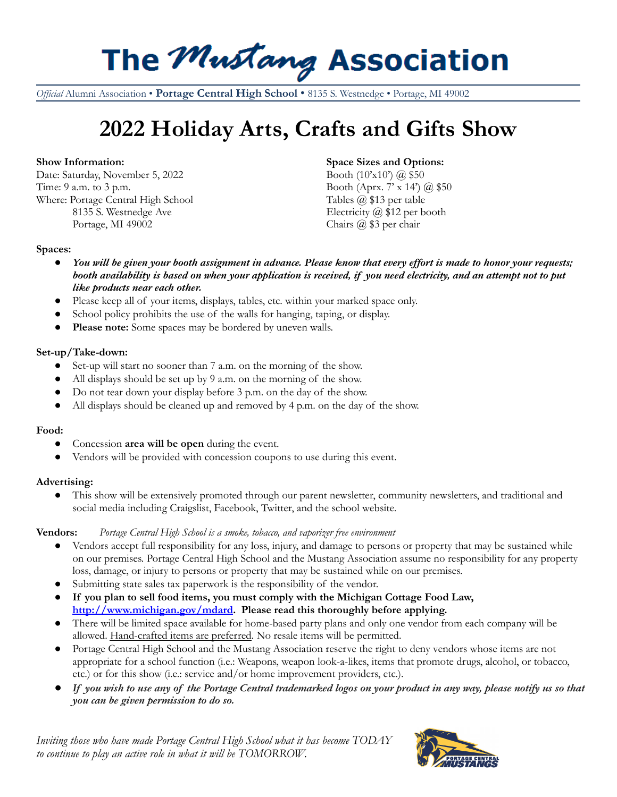## The Mustang Association

*Official* Alumni Association • **Portage Central High School** • 8135 S. Westnedge • Portage, MI 49002

## **2022 Holiday Arts, Crafts and Gifts Show**

Date: Saturday, November 5, 2022 Booth (10'x10') @ \$50 Time: 9 a.m. to 3 p.m. South (Apr x 14') (a) \$50 Where: Portage Central High School Tables @ \$13 per table 8135 S. Westnedge Ave Electricity @ \$12 per booth Portage, MI 49002 Chairs @ \$3 per chair

#### **Show Information: Space Sizes and Options:**

#### **Spaces:**

- You will be given your booth assignment in advance. Please know that every effort is made to honor your requests; booth availability is based on when your application is received, if you need electricity, and an attempt not to put *like products near each other.*
- Please keep all of your items, displays, tables, etc. within your marked space only.
- School policy prohibits the use of the walls for hanging, taping, or display.
- Please note: Some spaces may be bordered by uneven walls.

#### **Set-up/Take-down:**

- Set-up will start no sooner than 7 a.m. on the morning of the show.
- All displays should be set up by 9 a.m. on the morning of the show.
- Do not tear down your display before 3 p.m. on the day of the show.
- All displays should be cleaned up and removed by  $4 \text{ p.m.}$  on the day of the show.

#### **Food:**

- **●** Concession **area will be open** during the event.
- Vendors will be provided with concession coupons to use during this event.

#### **Advertising:**

This show will be extensively promoted through our parent newsletter, community newsletters, and traditional and social media including Craigslist, Facebook, Twitter, and the school website.

#### **Vendors:** *Portage Central High School is a smoke, tobacco, and vaporizer free environment*

- Vendors accept full responsibility for any loss, injury, and damage to persons or property that may be sustained while on our premises. Portage Central High School and the Mustang Association assume no responsibility for any property loss, damage, or injury to persons or property that may be sustained while on our premises.
- Submitting state sales tax paperwork is the responsibility of the vendor.
- **● If you plan to sell food items, you must comply with the Michigan Cottage Food Law, <http://www.michigan.gov/mdard>. Please read this thoroughly before applying.**
- There will be limited space available for home-based party plans and only one vendor from each company will be allowed. Hand-crafted items are preferred. No resale items will be permitted.
- Portage Central High School and the Mustang Association reserve the right to deny vendors whose items are not appropriate for a school function (i.e.: Weapons, weapon look-a-likes, items that promote drugs, alcohol, or tobacco, etc.) or for this show (i.e.: service and/or home improvement providers, etc.).
- If you wish to use any of the Portage Central trademarked logos on your product in any way, please notify us so that *you can be given permission to do so.*

*Inviting those who have made Portage Central High School what it has become TODAY to continue to play an active role in what it will be TOMORROW.*